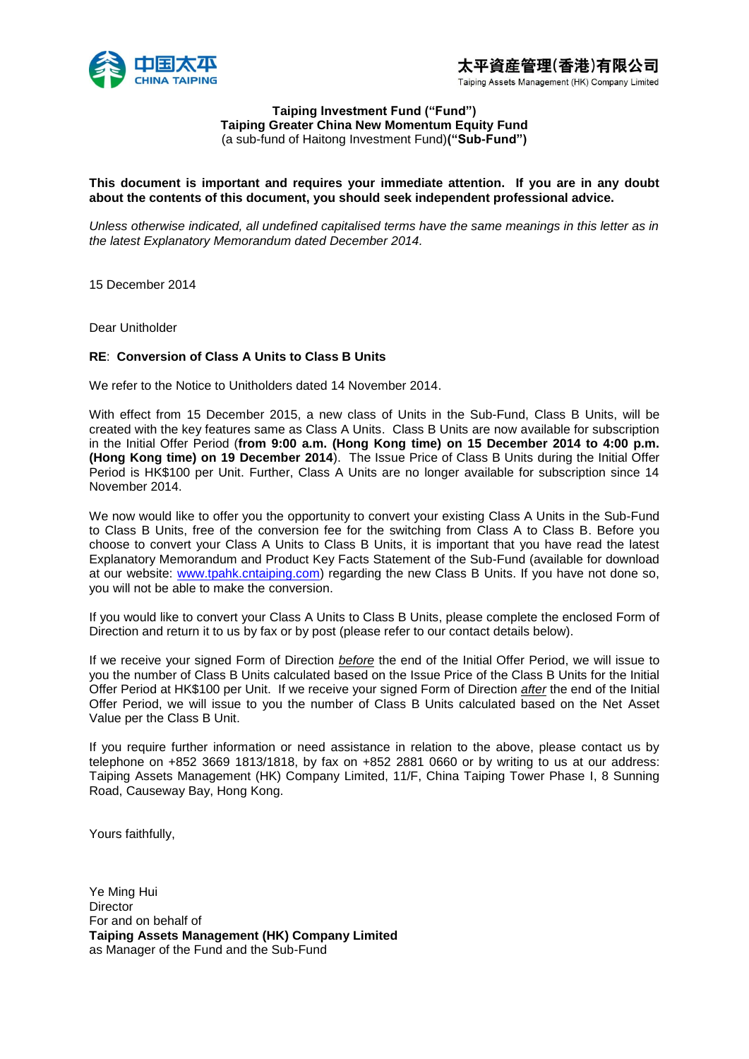

#### **Taiping Investment Fund ("Fund") Taiping Greater China New Momentum Equity Fund** (a sub-fund of Haitong Investment Fund)**("Sub-Fund")**

## **This document is important and requires your immediate attention. If you are in any doubt about the contents of this document, you should seek independent professional advice.**

*Unless otherwise indicated, all undefined capitalised terms have the same meanings in this letter as in the latest Explanatory Memorandum dated December 2014.* 

15 December 2014

Dear Unitholder

### **RE**: **Conversion of Class A Units to Class B Units**

We refer to the Notice to Unitholders dated 14 November 2014.

With effect from 15 December 2015, a new class of Units in the Sub-Fund, Class B Units, will be created with the key features same as Class A Units. Class B Units are now available for subscription in the Initial Offer Period (**from 9:00 a.m. (Hong Kong time) on 15 December 2014 to 4:00 p.m. (Hong Kong time) on 19 December 2014**). The Issue Price of Class B Units during the Initial Offer Period is HK\$100 per Unit. Further, Class A Units are no longer available for subscription since 14 November 2014.

We now would like to offer you the opportunity to convert your existing Class A Units in the Sub-Fund to Class B Units, free of the conversion fee for the switching from Class A to Class B. Before you choose to convert your Class A Units to Class B Units, it is important that you have read the latest Explanatory Memorandum and Product Key Facts Statement of the Sub-Fund (available for download at our website: [www.tpahk.cntaiping.com\)](http://www.tpahk.cntaiping.com/) regarding the new Class B Units. If you have not done so, you will not be able to make the conversion.

If you would like to convert your Class A Units to Class B Units, please complete the enclosed Form of Direction and return it to us by fax or by post (please refer to our contact details below).

If we receive your signed Form of Direction *before* the end of the Initial Offer Period, we will issue to you the number of Class B Units calculated based on the Issue Price of the Class B Units for the Initial Offer Period at HK\$100 per Unit. If we receive your signed Form of Direction *after* the end of the Initial Offer Period, we will issue to you the number of Class B Units calculated based on the Net Asset Value per the Class B Unit.

If you require further information or need assistance in relation to the above, please contact us by telephone on +852 3669 1813/1818, by fax on +852 2881 0660 or by writing to us at our address: Taiping Assets Management (HK) Company Limited, 11/F, China Taiping Tower Phase I, 8 Sunning Road, Causeway Bay, Hong Kong.

Yours faithfully,

Ye Ming Hui **Director** For and on behalf of **Taiping Assets Management (HK) Company Limited** as Manager of the Fund and the Sub-Fund